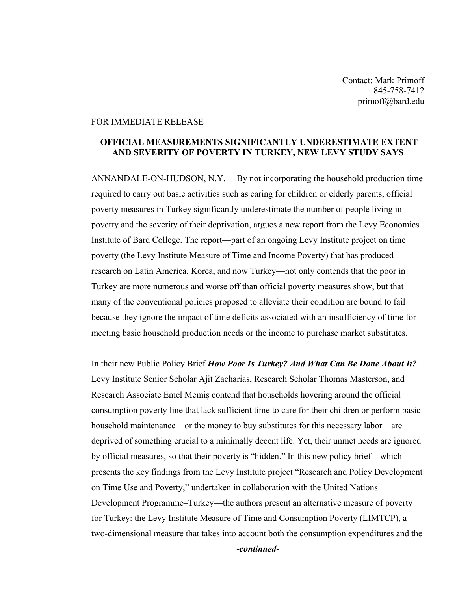Contact: Mark Primoff 845-758-7412 primoff@bard.edu

## FOR IMMEDIATE RELEASE

## **OFFICIAL MEASUREMENTS SIGNIFICANTLY UNDERESTIMATE EXTENT AND SEVERITY OF POVERTY IN TURKEY, NEW LEVY STUDY SAYS**

ANNANDALE-ON-HUDSON, N.Y.— By not incorporating the household production time required to carry out basic activities such as caring for children or elderly parents, official poverty measures in Turkey significantly underestimate the number of people living in poverty and the severity of their deprivation, argues a new report from the Levy Economics Institute of Bard College. The report—part of an ongoing Levy Institute project on time poverty (the Levy Institute Measure of Time and Income Poverty) that has produced research on Latin America, Korea, and now Turkey—not only contends that the poor in Turkey are more numerous and worse off than official poverty measures show, but that many of the conventional policies proposed to alleviate their condition are bound to fail because they ignore the impact of time deficits associated with an insufficiency of time for meeting basic household production needs or the income to purchase market substitutes.

In their new Public Policy Brief *How Poor Is Turkey? And What Can Be Done About It?* Levy Institute Senior Scholar Ajit Zacharias, Research Scholar Thomas Masterson, and Research Associate Emel Memiş contend that households hovering around the official consumption poverty line that lack sufficient time to care for their children or perform basic household maintenance—or the money to buy substitutes for this necessary labor—are deprived of something crucial to a minimally decent life. Yet, their unmet needs are ignored by official measures, so that their poverty is "hidden." In this new policy brief—which presents the key findings from the Levy Institute project "Research and Policy Development on Time Use and Poverty," undertaken in collaboration with the United Nations Development Programme–Turkey—the authors present an alternative measure of poverty for Turkey: the Levy Institute Measure of Time and Consumption Poverty (LIMTCP), a two-dimensional measure that takes into account both the consumption expenditures and the *-continued-*